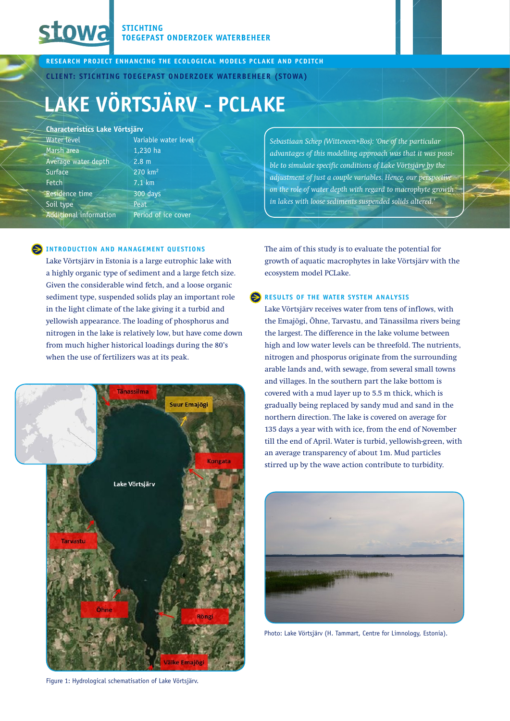# **Stowa**

**STICHTING TOEGEPAST ONDERZOEK WATERBEHEER** 

**research project enhancing the ecological models PCLake and PCDitch**

**Client: Stichting Toegepast Onderzoek Waterbeheer (STOWA)**

ater level

e cover

## **Lake Vörtsjärv - PCLake**

#### **Characteristics Lake Vörtsjärv**

| Variable w            |
|-----------------------|
| 1,230 ha              |
| 2.8 <sub>m</sub>      |
| $270$ km <sup>2</sup> |
| $7.1$ km              |
| 300 days              |
| Peat                  |
| Period of i           |
|                       |

### **INTRODUCTION AND MANAGEMENT QUESTIONS**

Lake Võrtsjärv in Estonia is a large eutrophic lake with a highly organic type of sediment and a large fetch size. Given the considerable wind fetch, and a loose organic sediment type, suspended solids play an important role in the light climate of the lake giving it a turbid and yellowish appearance. The loading of phosphorus and nitrogen in the lake is relatively low, but have come down from much higher historical loadings during the 80's when the use of fertilizers was at its peak.



Figure 1: Hydrological schematisation of Lake Vörtsjärv.

*Sebastiaan Schep (Witteveen+Bos): 'One of the particular advantages of this modelling approach was that it was possible to simulate specific conditions of Lake Vörtsjärv by the adjustment of just a couple variables. Hence, our perspective on the role of water depth with regard to macrophyte growth in lakes with loose sediments suspended solids altered.'*

The aim of this study is to evaluate the potential for growth of aquatic macrophytes in lake Vörtsjärv with the ecosystem model PCLake.

#### **Results of the water system analysis**

Lake Võrtsjärv receives water from tens of inflows, with the Emajõgi, Õhne, Tarvastu, and Tänassilma rivers being the largest. The difference in the lake volume between high and low water levels can be threefold. The nutrients, nitrogen and phosporus originate from the surrounding arable lands and, with sewage, from several small towns and villages. In the southern part the lake bottom is covered with a mud layer up to 5.5 m thick, which is gradually being replaced by sandy mud and sand in the northern direction. The lake is covered on average for 135 days a year with with ice, from the end of November till the end of April. Water is turbid, yellowish-green, with an average transparency of about 1m. Mud particles stirred up by the wave action contribute to turbidity.



Photo: Lake Vörtsjärv (H. Tammart, Centre for Limnology, Estonia).